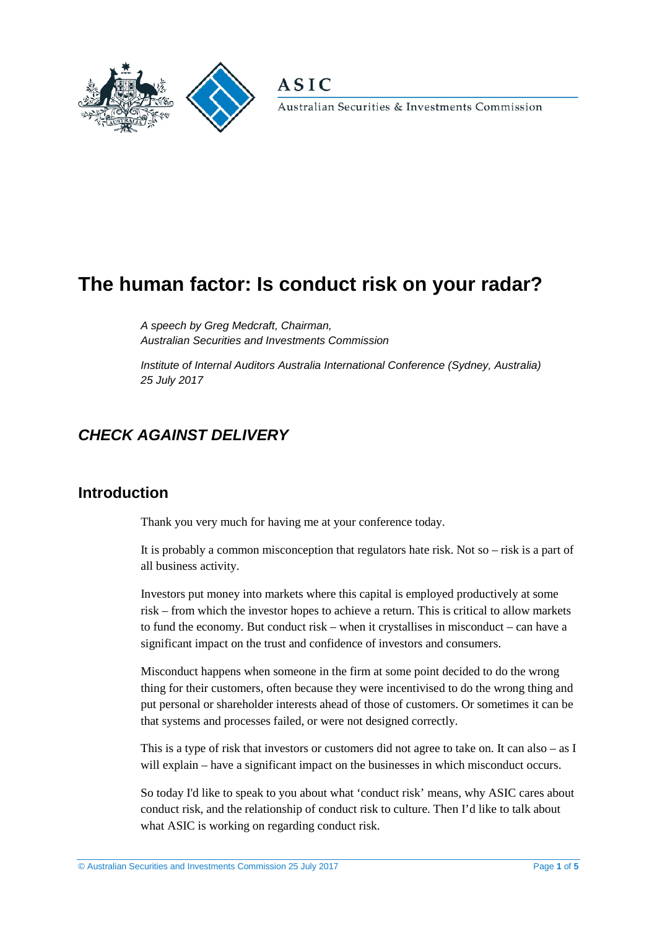



Australian Securities & Investments Commission

# **The human factor: Is conduct risk on your radar?**

*A speech by Greg Medcraft, Chairman, Australian Securities and Investments Commission* 

*Institute of Internal Auditors Australia International Conference (Sydney, Australia) 25 July 2017*

## *CHECK AGAINST DELIVERY*

#### **Introduction**

Thank you very much for having me at your conference today.

It is probably a common misconception that regulators hate risk. Not so – risk is a part of all business activity.

Investors put money into markets where this capital is employed productively at some risk – from which the investor hopes to achieve a return. This is critical to allow markets to fund the economy. But conduct risk – when it crystallises in misconduct – can have a significant impact on the trust and confidence of investors and consumers.

Misconduct happens when someone in the firm at some point decided to do the wrong thing for their customers, often because they were incentivised to do the wrong thing and put personal or shareholder interests ahead of those of customers. Or sometimes it can be that systems and processes failed, or were not designed correctly.

This is a type of risk that investors or customers did not agree to take on. It can also – as I will explain – have a significant impact on the businesses in which misconduct occurs.

So today I'd like to speak to you about what 'conduct risk' means, why ASIC cares about conduct risk, and the relationship of conduct risk to culture. Then I'd like to talk about what ASIC is working on regarding conduct risk.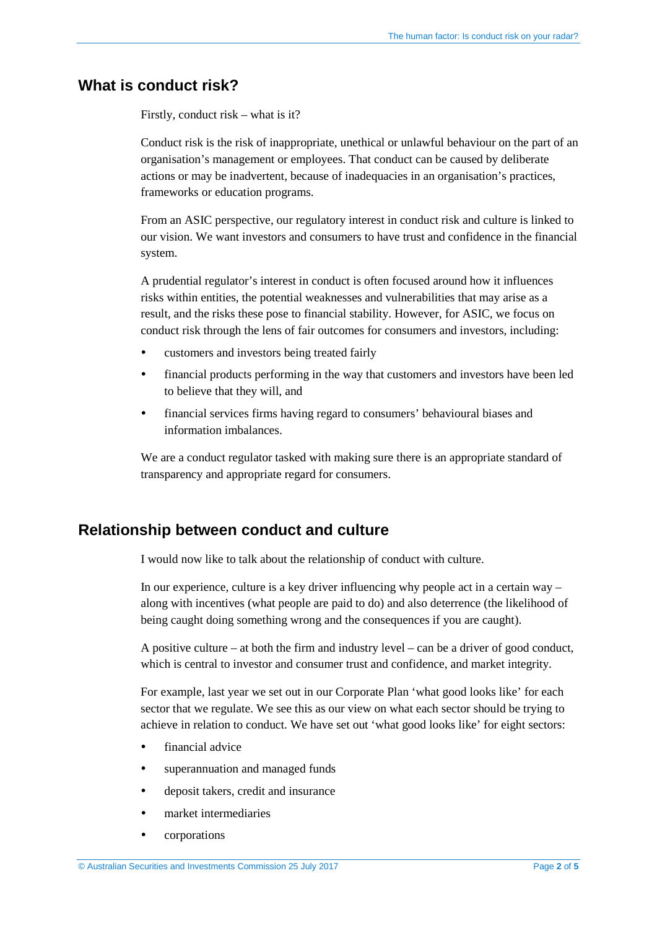#### **What is conduct risk?**

Firstly, conduct risk – what is it?

Conduct risk is the risk of inappropriate, unethical or unlawful behaviour on the part of an organisation's management or employees. That conduct can be caused by deliberate actions or may be inadvertent, because of inadequacies in an organisation's practices, frameworks or education programs.

From an ASIC perspective, our regulatory interest in conduct risk and culture is linked to our vision. We want investors and consumers to have trust and confidence in the financial system.

A prudential regulator's interest in conduct is often focused around how it influences risks within entities, the potential weaknesses and vulnerabilities that may arise as a result, and the risks these pose to financial stability. However, for ASIC, we focus on conduct risk through the lens of fair outcomes for consumers and investors, including:

- customers and investors being treated fairly
- financial products performing in the way that customers and investors have been led to believe that they will, and
- financial services firms having regard to consumers' behavioural biases and information imbalances.

We are a conduct regulator tasked with making sure there is an appropriate standard of transparency and appropriate regard for consumers.

### **Relationship between conduct and culture**

I would now like to talk about the relationship of conduct with culture.

In our experience, culture is a key driver influencing why people act in a certain way – along with incentives (what people are paid to do) and also deterrence (the likelihood of being caught doing something wrong and the consequences if you are caught).

A positive culture – at both the firm and industry level – can be a driver of good conduct, which is central to investor and consumer trust and confidence, and market integrity.

For example, last year we set out in our Corporate Plan 'what good looks like' for each sector that we regulate. We see this as our view on what each sector should be trying to achieve in relation to conduct. We have set out 'what good looks like' for eight sectors:

- financial advice
- superannuation and managed funds
- deposit takers, credit and insurance
- market intermediaries
- corporations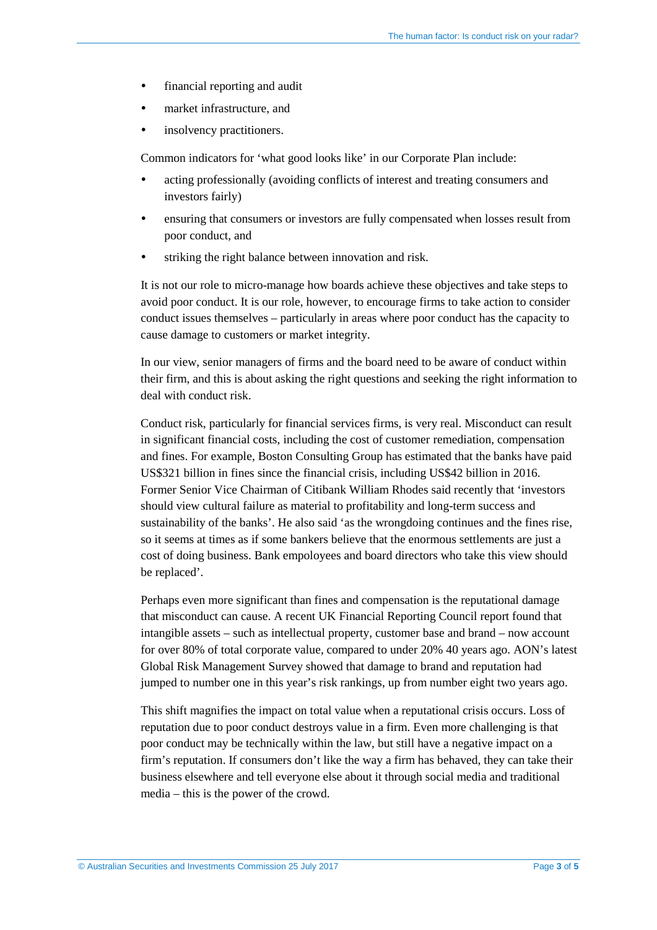- financial reporting and audit
- market infrastructure, and
- insolvency practitioners.

Common indicators for 'what good looks like' in our Corporate Plan include:

- acting professionally (avoiding conflicts of interest and treating consumers and investors fairly)
- ensuring that consumers or investors are fully compensated when losses result from poor conduct, and
- striking the right balance between innovation and risk.

It is not our role to micro-manage how boards achieve these objectives and take steps to avoid poor conduct. It is our role, however, to encourage firms to take action to consider conduct issues themselves – particularly in areas where poor conduct has the capacity to cause damage to customers or market integrity.

In our view, senior managers of firms and the board need to be aware of conduct within their firm, and this is about asking the right questions and seeking the right information to deal with conduct risk.

Conduct risk, particularly for financial services firms, is very real. Misconduct can result in significant financial costs, including the cost of customer remediation, compensation and fines. For example, Boston Consulting Group has estimated that the banks have paid US\$321 billion in fines since the financial crisis, including US\$42 billion in 2016. Former Senior Vice Chairman of Citibank William Rhodes said recently that 'investors should view cultural failure as material to profitability and long-term success and sustainability of the banks'. He also said 'as the wrongdoing continues and the fines rise, so it seems at times as if some bankers believe that the enormous settlements are just a cost of doing business. Bank empoloyees and board directors who take this view should be replaced'.

Perhaps even more significant than fines and compensation is the reputational damage that misconduct can cause. A recent UK Financial Reporting Council report found that intangible assets – such as intellectual property, customer base and brand – now account for over 80% of total corporate value, compared to under 20% 40 years ago. AON's latest Global Risk Management Survey showed that damage to brand and reputation had jumped to number one in this year's risk rankings, up from number eight two years ago.

This shift magnifies the impact on total value when a reputational crisis occurs. Loss of reputation due to poor conduct destroys value in a firm. Even more challenging is that poor conduct may be technically within the law, but still have a negative impact on a firm's reputation. If consumers don't like the way a firm has behaved, they can take their business elsewhere and tell everyone else about it through social media and traditional media – this is the power of the crowd.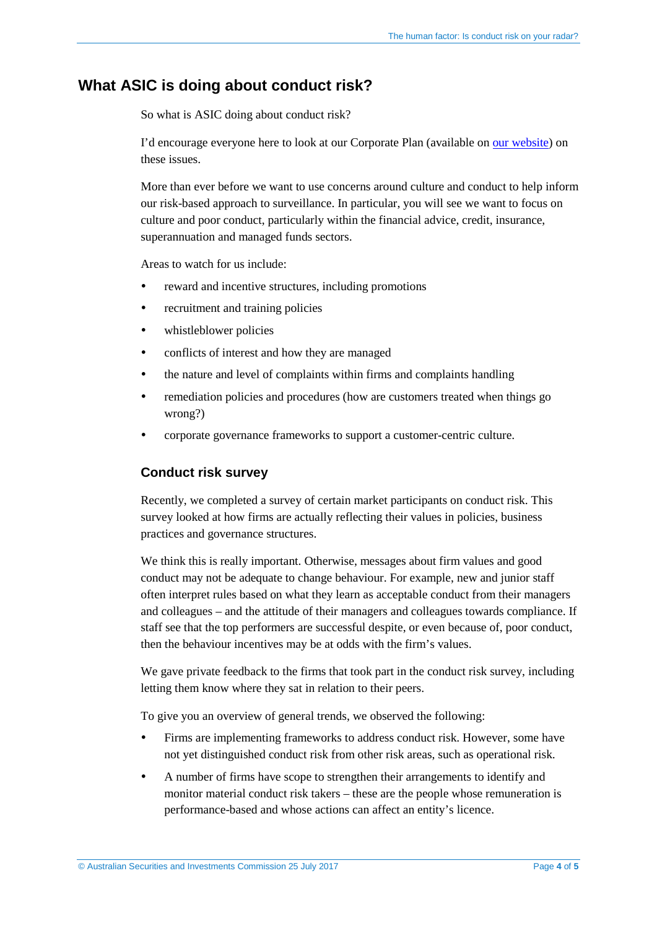#### **What ASIC is doing about conduct risk?**

So what is ASIC doing about conduct risk?

I'd encourage everyone here to look at our Corporate Plan (available on [our website\)](http://www.asic.gov.au/about-asic/what-we-do/our-role/asics-corporate-plan-2016-2017-to-2019-2020/) on these issues.

More than ever before we want to use concerns around culture and conduct to help inform our risk-based approach to surveillance. In particular, you will see we want to focus on culture and poor conduct, particularly within the financial advice, credit, insurance, superannuation and managed funds sectors.

Areas to watch for us include:

- reward and incentive structures, including promotions
- recruitment and training policies
- whistleblower policies
- conflicts of interest and how they are managed
- the nature and level of complaints within firms and complaints handling
- remediation policies and procedures (how are customers treated when things go wrong?)
- corporate governance frameworks to support a customer-centric culture.

#### **Conduct risk survey**

Recently, we completed a survey of certain market participants on conduct risk. This survey looked at how firms are actually reflecting their values in policies, business practices and governance structures.

We think this is really important. Otherwise, messages about firm values and good conduct may not be adequate to change behaviour. For example, new and junior staff often interpret rules based on what they learn as acceptable conduct from their managers and colleagues – and the attitude of their managers and colleagues towards compliance. If staff see that the top performers are successful despite, or even because of, poor conduct, then the behaviour incentives may be at odds with the firm's values.

We gave private feedback to the firms that took part in the conduct risk survey, including letting them know where they sat in relation to their peers.

To give you an overview of general trends, we observed the following:

- Firms are implementing frameworks to address conduct risk. However, some have not yet distinguished conduct risk from other risk areas, such as operational risk.
- A number of firms have scope to strengthen their arrangements to identify and monitor material conduct risk takers – these are the people whose remuneration is performance-based and whose actions can affect an entity's licence.